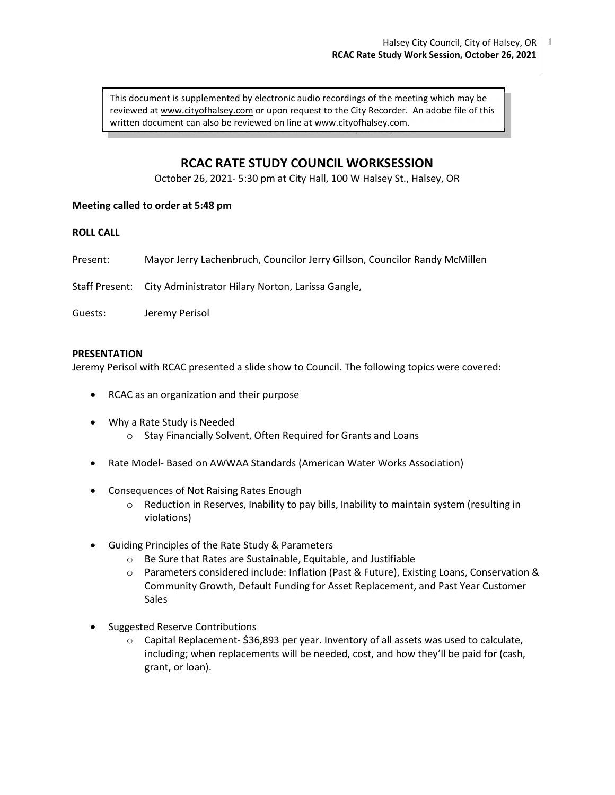This document is supplemented by electronic audio recordings of the meeting which may be  $\Box$ reviewed at www.cityofhalsey.com or upon request to the City Recorder. An adobe file of this written document can also be reviewed on line at www.cityofhalsey.com.

# RCAC RATE STUDY COUNCIL WORKSESSION

October 26, 2021- 5:30 pm at City Hall, 100 W Halsey St., Halsey, OR

## Meeting called to order at 5:48 pm

## ROLL CALL

Present: Mayor Jerry Lachenbruch, Councilor Jerry Gillson, Councilor Randy McMillen

Staff Present: City Administrator Hilary Norton, Larissa Gangle,

Guests: Jeremy Perisol

### PRESENTATION

Jeremy Perisol with RCAC presented a slide show to Council. The following topics were covered:

- RCAC as an organization and their purpose
- Why a Rate Study is Needed
	- o Stay Financially Solvent, Often Required for Grants and Loans
- Rate Model- Based on AWWAA Standards (American Water Works Association)
- Consequences of Not Raising Rates Enough
	- o Reduction in Reserves, Inability to pay bills, Inability to maintain system (resulting in violations)
- Guiding Principles of the Rate Study & Parameters
	- o Be Sure that Rates are Sustainable, Equitable, and Justifiable
	- o Parameters considered include: Inflation (Past & Future), Existing Loans, Conservation & Community Growth, Default Funding for Asset Replacement, and Past Year Customer Sales
- Suggested Reserve Contributions
	- o Capital Replacement- \$36,893 per year. Inventory of all assets was used to calculate, including; when replacements will be needed, cost, and how they'll be paid for (cash, grant, or loan).

1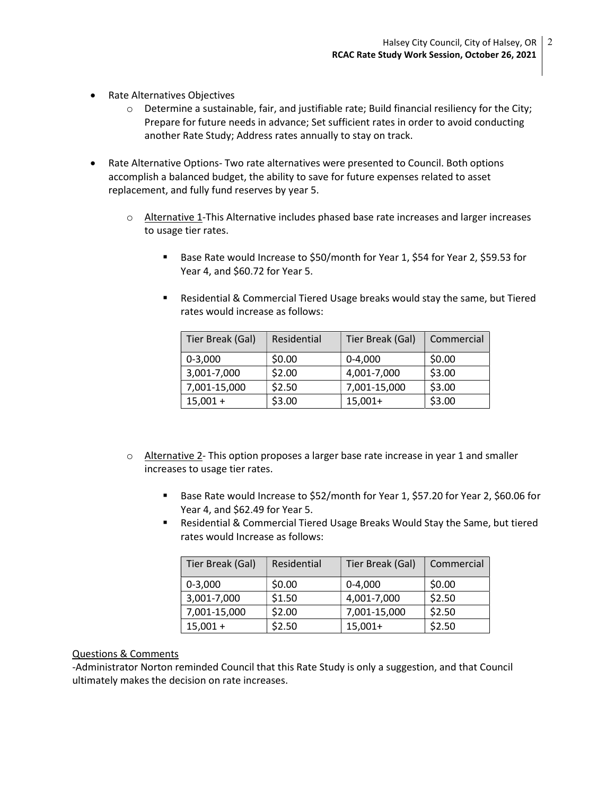- Rate Alternatives Objectives
	- $\circ$  Determine a sustainable, fair, and justifiable rate; Build financial resiliency for the City; Prepare for future needs in advance; Set sufficient rates in order to avoid conducting another Rate Study; Address rates annually to stay on track.
- Rate Alternative Options- Two rate alternatives were presented to Council. Both options accomplish a balanced budget, the ability to save for future expenses related to asset replacement, and fully fund reserves by year 5.
	- $\circ$  Alternative 1-This Alternative includes phased base rate increases and larger increases to usage tier rates.
		- Base Rate would Increase to \$50/month for Year 1, \$54 for Year 2, \$59.53 for Year 4, and \$60.72 for Year 5.
		- Residential & Commercial Tiered Usage breaks would stay the same, but Tiered rates would increase as follows:

| Tier Break (Gal) | Residential | Tier Break (Gal) | Commercial |
|------------------|-------------|------------------|------------|
| $0 - 3,000$      | \$0.00      | $0 - 4.000$      | \$0.00     |
| 3,001-7,000      | \$2.00      | 4,001-7,000      | \$3.00     |
| 7,001-15,000     | \$2.50      | 7,001-15,000     | \$3.00     |
| $15,001 +$       | \$3.00      | $15,001+$        | \$3.00     |

- $\circ$  Alternative 2- This option proposes a larger base rate increase in year 1 and smaller increases to usage tier rates.
	- **Base Rate would Increase to \$52/month for Year 1, \$57.20 for Year 2, \$60.06 for** Year 4, and \$62.49 for Year 5.
	- Residential & Commercial Tiered Usage Breaks Would Stay the Same, but tiered rates would Increase as follows:

| Tier Break (Gal) | Residential | Tier Break (Gal) | Commercial |
|------------------|-------------|------------------|------------|
| $0 - 3,000$      | \$0.00      | $0 - 4,000$      | \$0.00     |
| 3,001-7,000      | \$1.50      | 4,001-7,000      | \$2.50     |
| 7,001-15,000     | \$2.00      | 7,001-15,000     | \$2.50     |
| $15,001 +$       | \$2.50      | $15,001+$        | \$2.50     |

## Questions & Comments

-Administrator Norton reminded Council that this Rate Study is only a suggestion, and that Council ultimately makes the decision on rate increases.